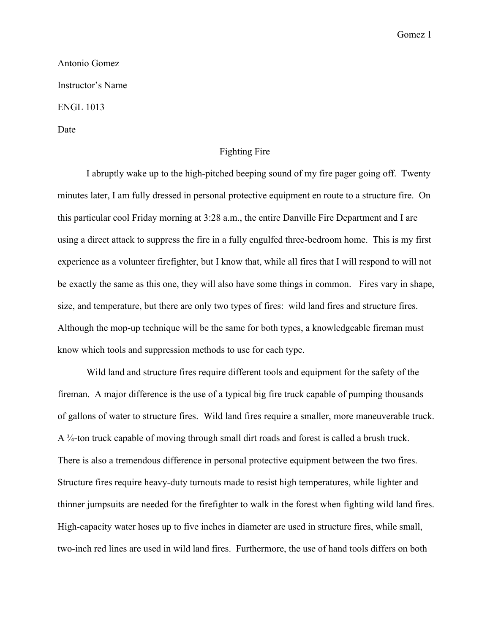Gomez 1

Antonio Gomez Instructor's Name ENGL 1013 Date

## Fighting Fire

I abruptly wake up to the high-pitched beeping sound of my fire pager going off. Twenty minutes later, I am fully dressed in personal protective equipment en route to a structure fire. On this particular cool Friday morning at 3:28 a.m., the entire Danville Fire Department and I are using a direct attack to suppress the fire in a fully engulfed three-bedroom home. This is my first experience as a volunteer firefighter, but I know that, while all fires that I will respond to will not be exactly the same as this one, they will also have some things in common. Fires vary in shape, size, and temperature, but there are only two types of fires: wild land fires and structure fires. Although the mop-up technique will be the same for both types, a knowledgeable fireman must know which tools and suppression methods to use for each type.

Wild land and structure fires require different tools and equipment for the safety of the fireman. A major difference is the use of a typical big fire truck capable of pumping thousands of gallons of water to structure fires. Wild land fires require a smaller, more maneuverable truck. A ¾-ton truck capable of moving through small dirt roads and forest is called a brush truck. There is also a tremendous difference in personal protective equipment between the two fires. Structure fires require heavy-duty turnouts made to resist high temperatures, while lighter and thinner jumpsuits are needed for the firefighter to walk in the forest when fighting wild land fires. High-capacity water hoses up to five inches in diameter are used in structure fires, while small, two-inch red lines are used in wild land fires. Furthermore, the use of hand tools differs on both